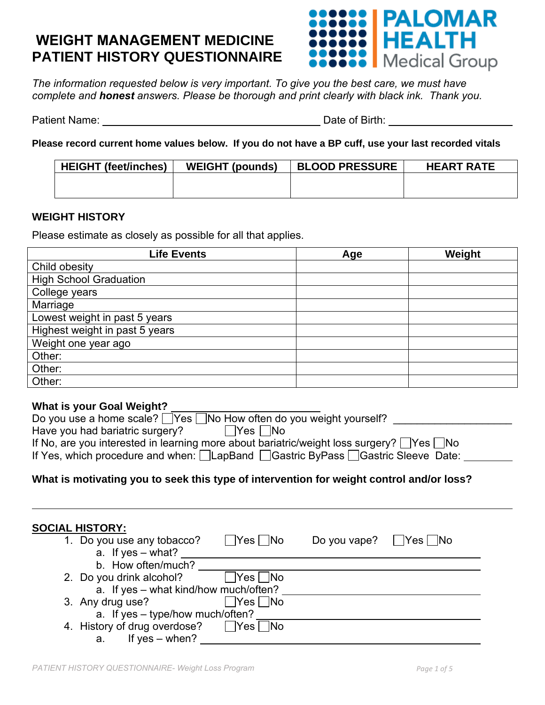# **WEIGHT MANAGEMENT MEDICINE PATIENT HISTORY QUESTIONNAIRE**



*The information requested below is very important. To give you the best care, we must have complete and honest answers. Please be thorough and print clearly with black ink. Thank you.*

Patient Name: <u>Date of Birth:</u> Date of Birth:

**Please record current home values below. If you do not have a BP cuff, use your last recorded vitals**

| <b>HEIGHT (feet/inches)</b> | <b>WEIGHT (pounds)</b> | <b>BLOOD PRESSURE</b> | <b>HEART RATE</b> |
|-----------------------------|------------------------|-----------------------|-------------------|
|                             |                        |                       |                   |
|                             |                        |                       |                   |

### **WEIGHT HISTORY**

Please estimate as closely as possible for all that applies.

| <b>Life Events</b>             | Age | Weight |
|--------------------------------|-----|--------|
| Child obesity                  |     |        |
| <b>High School Graduation</b>  |     |        |
| College years                  |     |        |
| Marriage                       |     |        |
| Lowest weight in past 5 years  |     |        |
| Highest weight in past 5 years |     |        |
| Weight one year ago            |     |        |
| Other:                         |     |        |
| Other:                         |     |        |
| Other:                         |     |        |

#### **What is your Goal Weight?**

| Do you use a home scale? $\Box$ Yes $\Box$ No How often do you weight yourself?                      |  |
|------------------------------------------------------------------------------------------------------|--|
| $\Box$ Yes $\Box$ No<br>Have you had bariatric surgery?                                              |  |
| If No, are you interested in learning more about bariatric/weight loss surgery? $\Box$ Yes $\Box$ No |  |
| If Yes, which procedure and when: LapBand CGastric ByPass CGastric Sleeve Date:                      |  |
|                                                                                                      |  |

### **What is motivating you to seek this type of intervention for weight control and/or loss?**

| <b>SOCIAL HISTORY:</b><br>1. Do you use any tobacco? | $\Box$ Yes $\Box$ No | $\Box$ Yes $\Box$ No<br>Do you vape? |  |
|------------------------------------------------------|----------------------|--------------------------------------|--|
| a. If $yes - what?$                                  |                      |                                      |  |
| b. How often/much?                                   |                      |                                      |  |
| 2. Do you drink alcohol?                             | ' Yes  No            |                                      |  |
| a. If yes - what kind/how much/often?                |                      |                                      |  |
| 3. Any drug use?                                     | $\Box$ Yes $\Box$ No |                                      |  |
| a. If yes - type/how much/often?                     |                      |                                      |  |
| 4. History of drug overdose?                         | $\Box$ Yes $\Box$ No |                                      |  |
| If $yes - when?$<br>a.                               |                      |                                      |  |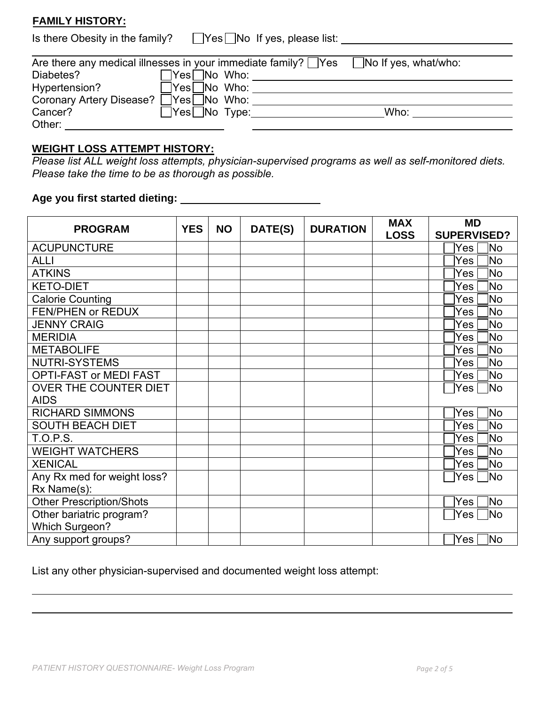# **FAMILY HISTORY:**

| Is there Obesity in the family? | □Yes □No If yes, please list: |  |
|---------------------------------|-------------------------------|--|
|                                 |                               |  |

| Are there any medical illnesses in your immediate family? $\Box$ Yes |                                 | $\vert$ No If yes, what/who: |
|----------------------------------------------------------------------|---------------------------------|------------------------------|
| Diabetes?                                                            | $\sqrt{}$ Yes $\sqrt{}$ No Who: |                              |
| Hypertension?                                                        | $\exists$ Yes $\Box$ No Who:    |                              |
| Coronary Artery Disease? [                                           | $\sqrt{}$ Yes $\sqrt{}$ No Who: |                              |
| Cancer?                                                              | $\Box$ Yes $\Box$ No Type:      | Who:                         |
| Other:                                                               |                                 |                              |

### **WEIGHT LOSS ATTEMPT HISTORY:**

*Please list ALL weight loss attempts, physician-supervised programs as well as self-monitored diets. Please take the time to be as thorough as possible.*

# **Age you first started dieting:**

| <b>PROGRAM</b>                  | <b>YES</b><br><b>NO</b><br>DATE(S) |  | <b>DURATION</b> | <b>MAX</b> | <b>MD</b>   |                    |
|---------------------------------|------------------------------------|--|-----------------|------------|-------------|--------------------|
|                                 |                                    |  |                 |            | <b>LOSS</b> | <b>SUPERVISED?</b> |
| <b>ACUPUNCTURE</b>              |                                    |  |                 |            |             | No<br>Yes          |
| <b>ALLI</b>                     |                                    |  |                 |            |             | No.<br>Yes         |
| <b>ATKINS</b>                   |                                    |  |                 |            |             | Mo!<br>Yes         |
| <b>KETO-DIET</b>                |                                    |  |                 |            |             | No<br>Yes          |
| <b>Calorie Counting</b>         |                                    |  |                 |            |             | No.<br>Yes         |
| FEN/PHEN or REDUX               |                                    |  |                 |            |             | No<br>Yes          |
| <b>JENNY CRAIG</b>              |                                    |  |                 |            |             | No.<br>Yes         |
| <b>MERIDIA</b>                  |                                    |  |                 |            |             | No<br>Yes          |
| <b>METABOLIFE</b>               |                                    |  |                 |            |             | No<br>Yes          |
| <b>NUTRI-SYSTEMS</b>            |                                    |  |                 |            |             | No<br>Yes          |
| <b>OPTI-FAST or MEDI FAST</b>   |                                    |  |                 |            |             | No<br>Yes          |
| OVER THE COUNTER DIET           |                                    |  |                 |            |             | ∃No<br>Yes         |
| <b>AIDS</b>                     |                                    |  |                 |            |             |                    |
| <b>RICHARD SIMMONS</b>          |                                    |  |                 |            |             | No<br>Yes          |
| <b>SOUTH BEACH DIET</b>         |                                    |  |                 |            |             | No<br>Yes          |
| T.O.P.S.                        |                                    |  |                 |            |             | <b>No</b><br>Yes   |
| <b>WEIGHT WATCHERS</b>          |                                    |  |                 |            |             | No.<br>Yes         |
| <b>XENICAL</b>                  |                                    |  |                 |            |             | No.<br>Yes         |
| Any Rx med for weight loss?     |                                    |  |                 |            |             | ∃No<br> Yes        |
| Rx Name(s):                     |                                    |  |                 |            |             |                    |
| <b>Other Prescription/Shots</b> |                                    |  |                 |            |             | ÌΝo<br>Yes         |
| Other bariatric program?        |                                    |  |                 |            |             | <b>No</b><br>Yes   |
| <b>Which Surgeon?</b>           |                                    |  |                 |            |             |                    |
| Any support groups?             |                                    |  |                 |            |             | No.<br>Yes         |

List any other physician-supervised and documented weight loss attempt: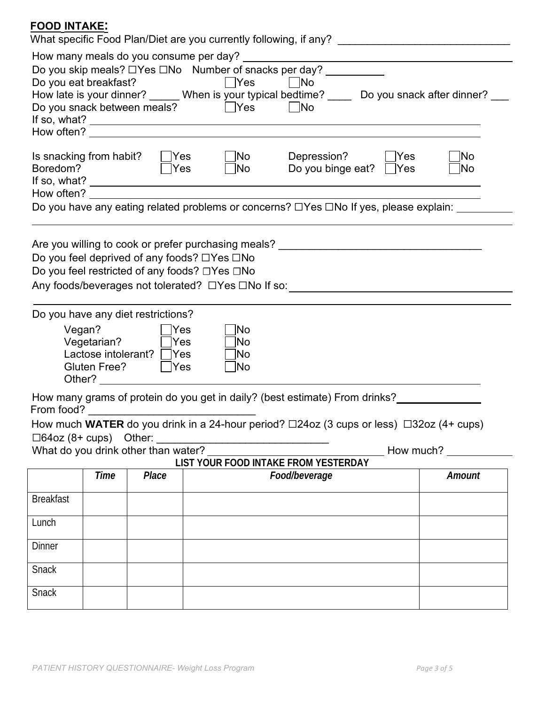# **FOOD INTAKE:**

| Do you skip meals? □Yes □No Number of snacks per day? __________<br>Do you eat breakfast?<br>How late is your dinner? _____ When is your typical bedtime? _____ Do you snack after dinner? _<br>Do you snack between meals? ■ ■ Yes<br>$\Box$ No<br>If so, what? $\overline{\phantom{a}}$                        |                                                                                                                                                                                                                                                                                                                                                                                                                                                                                                      |       |  |               |  |        |  |  |  |  |
|------------------------------------------------------------------------------------------------------------------------------------------------------------------------------------------------------------------------------------------------------------------------------------------------------------------|------------------------------------------------------------------------------------------------------------------------------------------------------------------------------------------------------------------------------------------------------------------------------------------------------------------------------------------------------------------------------------------------------------------------------------------------------------------------------------------------------|-------|--|---------------|--|--------|--|--|--|--|
|                                                                                                                                                                                                                                                                                                                  | $\Box$ No<br>Is snacking from habit?<br>Depression?<br>  Yes<br> No<br> Yes<br>Do you binge eat? $\Box$ Yes<br>Boredom? <u>Nes</u> Mo Do you<br>If so, what?<br> No<br>How often? The contract of the contract of the contract of the contract of the contract of the contract of the contract of the contract of the contract of the contract of the contract of the contract of the contract of the<br>Do you have any eating related problems or concerns? □Yes □No If yes, please explain: _____ |       |  |               |  |        |  |  |  |  |
|                                                                                                                                                                                                                                                                                                                  | Are you willing to cook or prefer purchasing meals? _____________________________<br>Do you feel deprived of any foods? □Yes □No<br>Do you feel restricted of any foods? □Yes □No<br>Any foods/beverages not tolerated? □Yes □No If so: _____________________________                                                                                                                                                                                                                                |       |  |               |  |        |  |  |  |  |
| Other?                                                                                                                                                                                                                                                                                                           | Do you have any diet restrictions?<br>Vegan?<br>$\forall$ es<br> No<br>Vegetarian?<br><b>Yes</b><br> No<br>Lactose intolerant?   Yes<br>$\overline{\textsf{No}}$<br><b>Gluten Free?</b><br>$\Box$ Yes<br> No                                                                                                                                                                                                                                                                                         |       |  |               |  |        |  |  |  |  |
| How many grams of protein do you get in daily? (best estimate) From drinks?<br>From food?<br>How much WATER do you drink in a 24-hour period? □24oz (3 cups or less) □32oz (4+ cups)<br>$\Box$ 64oz (8+ cups) Other:<br>What do you drink other than water?<br>How much?<br>LIST YOUR FOOD INTAKE FROM YESTERDAY |                                                                                                                                                                                                                                                                                                                                                                                                                                                                                                      |       |  |               |  |        |  |  |  |  |
|                                                                                                                                                                                                                                                                                                                  | <b>Time</b>                                                                                                                                                                                                                                                                                                                                                                                                                                                                                          | Place |  | Food/beverage |  | Amount |  |  |  |  |
| <b>Breakfast</b>                                                                                                                                                                                                                                                                                                 |                                                                                                                                                                                                                                                                                                                                                                                                                                                                                                      |       |  |               |  |        |  |  |  |  |
| Lunch                                                                                                                                                                                                                                                                                                            |                                                                                                                                                                                                                                                                                                                                                                                                                                                                                                      |       |  |               |  |        |  |  |  |  |
| <b>Dinner</b>                                                                                                                                                                                                                                                                                                    |                                                                                                                                                                                                                                                                                                                                                                                                                                                                                                      |       |  |               |  |        |  |  |  |  |
| Snack                                                                                                                                                                                                                                                                                                            |                                                                                                                                                                                                                                                                                                                                                                                                                                                                                                      |       |  |               |  |        |  |  |  |  |
| Snack                                                                                                                                                                                                                                                                                                            |                                                                                                                                                                                                                                                                                                                                                                                                                                                                                                      |       |  |               |  |        |  |  |  |  |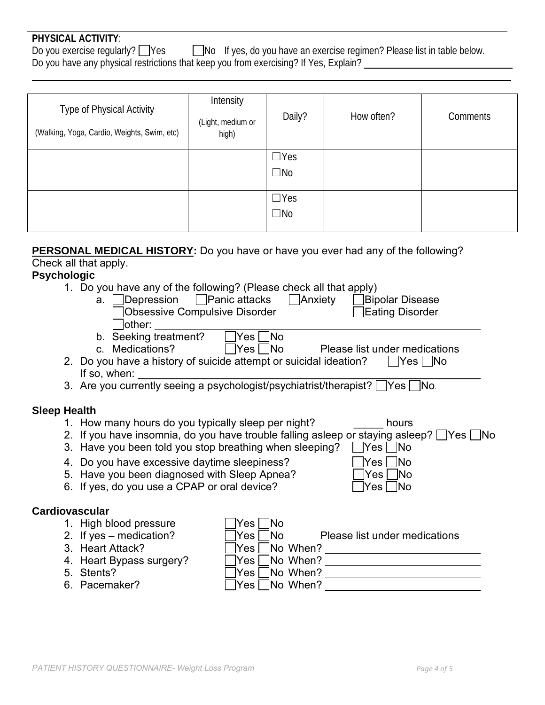## **PHYSICAL ACTIVITY**:

| Do you exercise regularly? $\Box$ Yes                                                 | No If yes, do you have an exercise regimen? Please list in table below. |
|---------------------------------------------------------------------------------------|-------------------------------------------------------------------------|
| Do you have any physical restrictions that keep you from exercising? If Yes, Explain? |                                                                         |

| Type of Physical Activity<br>(Walking, Yoga, Cardio, Weights, Swim, etc) | Intensity<br>(Light, medium or<br>high) | Daily?                     | How often? | Comments |
|--------------------------------------------------------------------------|-----------------------------------------|----------------------------|------------|----------|
|                                                                          |                                         | $\Box$ Yes<br>$\square$ No |            |          |
|                                                                          |                                         |                            |            |          |
|                                                                          |                                         | $\Box$ Yes                 |            |          |
|                                                                          |                                         | $\square$ No               |            |          |

# **PERSONAL MEDICAL HISTORY:** Do you have or have you ever had any of the following? Check all that apply.

### **Psychologic**

1. Do you have any of the following? (Please check all that apply)

|                     | 1. Do you have any of the following? (Please check all that apply)                                  |
|---------------------|-----------------------------------------------------------------------------------------------------|
|                     | Depression [ Panic attacks<br>│ Anxiety<br>」Bipolar Disease<br>a.                                   |
|                     | <b>Obsessive Compulsive Disorder</b><br><b>Eating Disorder</b>                                      |
|                     | other:                                                                                              |
|                     | ੈNo<br>b. Seeking treatment?<br>Yes                                                                 |
|                     | c. Medications?<br> Yes   No<br>Please list under medications                                       |
|                     | 2. Do you have a history of suicide attempt or suicidal ideation?<br>   Yes   No                    |
|                     | If so, when:                                                                                        |
|                     | 3. Are you currently seeing a psychologist/psychiatrist/therapist? TYes TNo.                        |
|                     |                                                                                                     |
| <b>Sleep Health</b> |                                                                                                     |
|                     | 1. How many hours do you typically sleep per night?<br>hours                                        |
|                     | 2. If you have insomnia, do you have trouble falling asleep or staying asleep? $\Box$ Yes $\Box$ No |
|                     | 3. Have you been told you stop breathing when sleeping?<br>  Yes   No                               |
|                     | 4. Do you have excessive daytime sleepiness?<br>Yes <br><b>No</b>                                   |
|                     | 5. Have you been diagnosed with Sleep Apnea?<br>Yes  <br><b>No</b>                                  |
|                     | 6. If yes, do you use a CPAP or oral device?<br>Yes <br><b>No</b>                                   |
|                     |                                                                                                     |
|                     | Cardiovascular                                                                                      |
|                     | <b>No</b><br>1. High blood pressure<br>Yes                                                          |
|                     | 2. If yes $-$ medication?<br>Yes l<br> No<br>Please list under medications                          |
|                     | 3. Heart Attack?<br>No When?<br>Yes l                                                               |
|                     | No When?<br>4. Heart Bypass surgery?<br>Yes l                                                       |
|                     | 5. Stents?<br>No When?<br>Yes                                                                       |
|                     | No When?<br>6. Pacemaker?<br>Yes                                                                    |